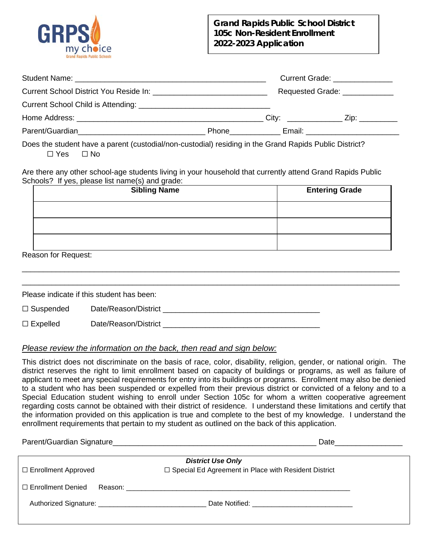

## **Grand Rapids Public School District 105c Non-Resident Enrollment 2022-2023 Application**

|  |                    | Current Grade: _______________ |  |
|--|--------------------|--------------------------------|--|
|  |                    | Requested Grade: _____________ |  |
|  |                    |                                |  |
|  |                    |                                |  |
|  | Phone_____________ |                                |  |
|  |                    |                                |  |

Does the student have a parent (custodial/non-custodial) residing in the Grand Rapids Public District? ☐ Yes ☐ No

Are there any other school-age students living in your household that currently attend Grand Rapids Public Schools? If yes, please list name(s) and grade:

| <b>Sibling Name</b> | <b>Entering Grade</b> |  |
|---------------------|-----------------------|--|
|                     |                       |  |
|                     |                       |  |
|                     |                       |  |

\_\_\_\_\_\_\_\_\_\_\_\_\_\_\_\_\_\_\_\_\_\_\_\_\_\_\_\_\_\_\_\_\_\_\_\_\_\_\_\_\_\_\_\_\_\_\_\_\_\_\_\_\_\_\_\_\_\_\_\_\_\_\_\_\_\_\_\_\_\_\_\_\_\_\_\_\_\_\_\_\_\_\_\_\_\_\_\_\_

Reason for Request:

|                  | Please indicate if this student has been: |  |
|------------------|-------------------------------------------|--|
| $\Box$ Suspended | Date/Reason/District                      |  |
| $\Box$ Expelled  | Date/Reason/District                      |  |

## *Please review the information on the back, then read and sign below:*

This district does not discriminate on the basis of race, color, disability, religion, gender, or national origin. The district reserves the right to limit enrollment based on capacity of buildings or programs, as well as failure of applicant to meet any special requirements for entry into its buildings or programs. Enrollment may also be denied to a student who has been suspended or expelled from their previous district or convicted of a felony and to a Special Education student wishing to enroll under Section 105c for whom a written cooperative agreement regarding costs cannot be obtained with their district of residence. I understand these limitations and certify that the information provided on this application is true and complete to the best of my knowledge. I understand the enrollment requirements that pertain to my student as outlined on the back of this application.

|                            | Parent/Guardian Signature Management Control and Control of the Control of the Control of the Control of the Co<br>Date |  |
|----------------------------|-------------------------------------------------------------------------------------------------------------------------|--|
| $\Box$ Enrollment Approved | <b>District Use Only</b><br>$\Box$ Special Ed Agreement in Place with Resident District                                 |  |
| $\Box$ Enrollment Denied   |                                                                                                                         |  |
|                            |                                                                                                                         |  |
|                            |                                                                                                                         |  |